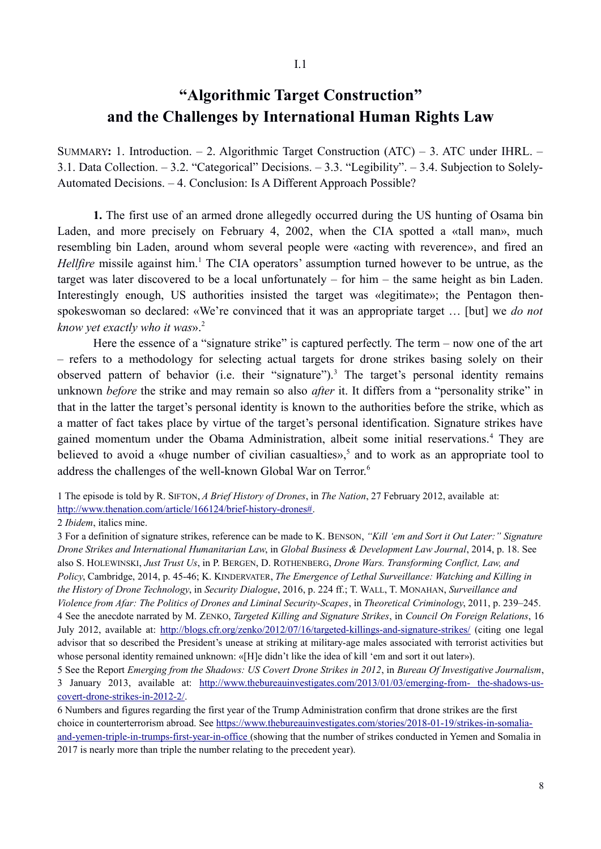## **"Algorithmic Target Construction" and the Challenges by International Human Rights Law**

SUMMARY**:** 1. Introduction. – 2. Algorithmic Target Construction (ATC) – 3. ATC under IHRL. – 3.1. Data Collection. – 3.2. "Categorical" Decisions. – 3.3. "Legibility". – 3.4. Subjection to Solely-Automated Decisions. – 4. Conclusion: Is A Different Approach Possible?

**1.** The first use of an armed drone allegedly occurred during the US hunting of Osama bin Laden, and more precisely on February 4, 2002, when the CIA spotted a «tall man», much resembling bin Laden, around whom several people were «acting with reverence», and fired an Hellfire missile against him.<sup>1</sup> The CIA operators' assumption turned however to be untrue, as the target was later discovered to be a local unfortunately – for him – the same height as bin Laden. Interestingly enough, US authorities insisted the target was «legitimate»; the Pentagon thenspokeswoman so declared: «We're convinced that it was an appropriate target … [but] we *do not know yet exactly who it was*».2

Here the essence of a "signature strike" is captured perfectly. The term – now one of the art – refers to a methodology for selecting actual targets for drone strikes basing solely on their observed pattern of behavior (i.e. their "signature").<sup>3</sup> The target's personal identity remains unknown *before* the strike and may remain so also *after* it. It differs from a "personality strike" in that in the latter the target's personal identity is known to the authorities before the strike, which as a matter of fact takes place by virtue of the target's personal identification. Signature strikes have gained momentum under the Obama Administration, albeit some initial reservations.<sup>4</sup> They are believed to avoid a «huge number of civilian casualties»,<sup>5</sup> and to work as an appropriate tool to address the challenges of the well-known Global War on Terror.<sup>6</sup>

1 The episode is told by R. SIFTON, *A Brief History of Drones*, in *The Nation*, 27 February 2012, available at: http://www.thenation.com/article/166124/brief-history-drones#.

2 *Ibidem*, italics mine.

3 For a definition of signature strikes, reference can be made to K. BENSON, *"Kill 'em and Sort it Out Later:" Signature Drone Strikes and International Humanitarian Law*, in *Global Business & Development Law Journal*, 2014, p. 18. See also S. HOLEWINSKI, *Just Trust Us*, in P. BERGEN, D. ROTHENBERG, *Drone Wars. Transforming Conflict, Law, and Policy*, Cambridge, 2014, p. 45-46; K. KINDERVATER, *The Emergence of Lethal Surveillance: Watching and Killing in the History of Drone Technology*, in *Security Dialogue*, 2016, p. 224 ff.; T. WALL, T. MONAHAN, *Surveillance and Violence from Afar: The Politics of Drones and Liminal Security-Scapes*, in *Theoretical Criminology*, 2011, p. 239–245. 4 See the anecdote narrated by M. ZENKO, *Targeted Killing and Signature Strikes*, in *Council On Foreign Relations*, 16 July 2012, available at: http://blogs.cfr.org/zenko/2012/07/16/targeted-killings-and-signature-strikes/ (citing one legal advisor that so described the President's unease at striking at military-age males associated with terrorist activities but whose personal identity remained unknown: «[H]e didn't like the idea of kill 'em and sort it out later»).

5 See the Report *Emerging from the Shadows: US Covert Drone Strikes in 2012*, in *Bureau Of Investigative Journalism*, 3 January 2013, available at: http://www.thebureauinvestigates.com/2013/01/03/emerging-from- the-shadows-us covert-drone-strikes-in-2012-2/.

6 Numbers and figures regarding the first year of the Trump Administration confirm that drone strikes are the first choice in counterterrorism abroad. See https://www.thebureauinvestigates.com/stories/2018-01-19/strikes-in-somalia and-yemen-triple-in-trumps-first-year-in-office (showing that the number of strikes conducted in Yemen and Somalia in 2017 is nearly more than triple the number relating to the precedent year).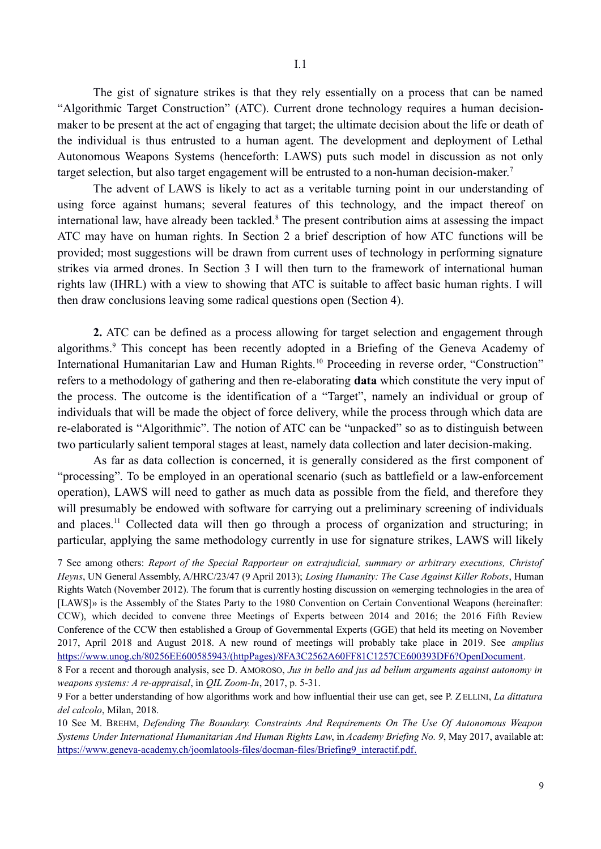The gist of signature strikes is that they rely essentially on a process that can be named "Algorithmic Target Construction" (ATC). Current drone technology requires a human decisionmaker to be present at the act of engaging that target; the ultimate decision about the life or death of the individual is thus entrusted to a human agent. The development and deployment of Lethal Autonomous Weapons Systems (henceforth: LAWS) puts such model in discussion as not only target selection, but also target engagement will be entrusted to a non-human decision-maker.<sup>7</sup>

The advent of LAWS is likely to act as a veritable turning point in our understanding of using force against humans; several features of this technology, and the impact thereof on international law, have already been tackled.<sup>8</sup> The present contribution aims at assessing the impact ATC may have on human rights. In Section 2 a brief description of how ATC functions will be provided; most suggestions will be drawn from current uses of technology in performing signature strikes via armed drones. In Section 3 I will then turn to the framework of international human rights law (IHRL) with a view to showing that ATC is suitable to affect basic human rights. I will then draw conclusions leaving some radical questions open (Section 4).

**2.** ATC can be defined as a process allowing for target selection and engagement through algorithms.<sup>9</sup> This concept has been recently adopted in a Briefing of the Geneva Academy of International Humanitarian Law and Human Rights.<sup>10</sup> Proceeding in reverse order, "Construction" refers to a methodology of gathering and then re-elaborating **data** which constitute the very input of the process. The outcome is the identification of a "Target", namely an individual or group of individuals that will be made the object of force delivery, while the process through which data are re-elaborated is "Algorithmic". The notion of ATC can be "unpacked" so as to distinguish between two particularly salient temporal stages at least, namely data collection and later decision-making.

As far as data collection is concerned, it is generally considered as the first component of "processing". To be employed in an operational scenario (such as battlefield or a law-enforcement operation), LAWS will need to gather as much data as possible from the field, and therefore they will presumably be endowed with software for carrying out a preliminary screening of individuals and places.11 Collected data will then go through a process of organization and structuring; in particular, applying the same methodology currently in use for signature strikes, LAWS will likely

7 See among others: *Report of the Special Rapporteur on extrajudicial, summary or arbitrary executions, Christof Heyns*, UN General Assembly, A/HRC/23/47 (9 April 2013); *Losing Humanity: The Case Against Killer Robots*, Human Rights Watch (November 2012). The forum that is currently hosting discussion on «emerging technologies in the area of [LAWS]» is the Assembly of the States Party to the 1980 Convention on Certain Conventional Weapons (hereinafter: CCW), which decided to convene three Meetings of Experts between 2014 and 2016; the 2016 Fifth Review Conference of the CCW then established a Group of Governmental Experts (GGE) that held its meeting on November 2017, April 2018 and August 2018. A new round of meetings will probably take place in 2019. See *amplius* https://www.unog.ch/80256EE600585943/(httpPages)/8FA3C2562A60FF81C1257CE600393DF6?OpenDocument.

9 For a better understanding of how algorithms work and how influential their use can get, see P. ZELLINI, *La dittatura del calcolo*, Milan, 2018.

10 See M. BREHM, *Defending The Boundary. Constraints And Requirements On The Use Of Autonomous Weapon Systems Under International Humanitarian And Human Rights Law*, in *Academy Briefing No. 9*, May 2017, available at: https://www.geneva-academy.ch/joomlatools-files/docman-files/Briefing9\_interactif.pdf.

<sup>8</sup> For a recent and thorough analysis, see D. AMOROSO, *Jus in bello and jus ad bellum arguments against autonomy in weapons systems: A re-appraisal*, in *QIL Zoom-In*, 2017, p. 5-31.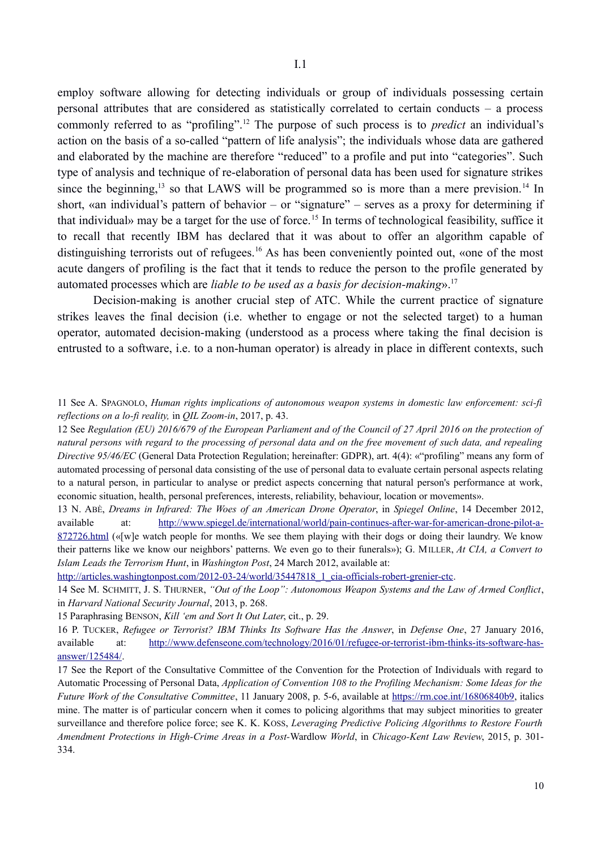employ software allowing for detecting individuals or group of individuals possessing certain personal attributes that are considered as statistically correlated to certain conducts – a process commonly referred to as "profiling".12 The purpose of such process is to *predict* an individual's action on the basis of a so-called "pattern of life analysis"; the individuals whose data are gathered and elaborated by the machine are therefore "reduced" to a profile and put into "categories". Such type of analysis and technique of re-elaboration of personal data has been used for signature strikes since the beginning,<sup>13</sup> so that LAWS will be programmed so is more than a mere prevision.<sup>14</sup> In short, «an individual's pattern of behavior – or "signature" – serves as a proxy for determining if that individual» may be a target for the use of force.<sup>15</sup> In terms of technological feasibility, suffice it to recall that recently IBM has declared that it was about to offer an algorithm capable of distinguishing terrorists out of refugees.<sup>16</sup> As has been conveniently pointed out, «one of the most acute dangers of profiling is the fact that it tends to reduce the person to the profile generated by automated processes which are *liable to be used as a basis for decision-making*».17

Decision-making is another crucial step of ATC. While the current practice of signature strikes leaves the final decision (i.e. whether to engage or not the selected target) to a human operator, automated decision-making (understood as a process where taking the final decision is entrusted to a software, i.e. to a non-human operator) is already in place in different contexts, such

12 See *Regulation (EU) 2016/679 of the European Parliament and of the Council of 27 April 2016 on the protection of natural persons with regard to the processing of personal data and on the free movement of such data, and repealing Directive 95/46/EC* (General Data Protection Regulation; hereinafter: GDPR), art. 4(4): «"profiling" means any form of automated processing of personal data consisting of the use of personal data to evaluate certain personal aspects relating to a natural person, in particular to analyse or predict aspects concerning that natural person's performance at work, economic situation, health, personal preferences, interests, reliability, behaviour, location or movements».

13 N. ABÈ, *Dreams in Infrared: The Woes of an American Drone Operator*, in *Spiegel Online*, 14 December 2012, available at: http://www.spiegel.de/international/world/pain-continues-after-war-for-american-drone-pilot-a-872726.html («[w]e watch people for months. We see them playing with their dogs or doing their laundry. We know their patterns like we know our neighbors' patterns. We even go to their funerals»); G. MILLER, *At CIA, a Convert to Islam Leads the Terrorism Hunt*, in *Washington Post*, 24 March 2012, available at:

http://articles.washingtonpost.com/2012-03-24/world/35447818\_1\_cia-officials-robert-grenier-ctc.

14 See M. SCHMITT, J. S. THURNER, *"Out of the Loop": Autonomous Weapon Systems and the Law of Armed Conflict*, in *Harvard National Security Journal*, 2013, p. 268.

15 Paraphrasing BENSON, *Kill 'em and Sort It Out Later*, cit., p. 29.

16 P. TUCKER, *Refugee or Terrorist? IBM Thinks Its Software Has the Answer*, in *Defense One*, 27 January 2016, available at: http://www.defenseone.com/technology/2016/01/refugee-or-terrorist-ibm-thinks-its-software-hasanswer/125484/.

17 See the Report of the Consultative Committee of the Convention for the Protection of Individuals with regard to Automatic Processing of Personal Data, *Application of Convention 108 to the Profiling Mechanism: Some Ideas for the Future Work of the Consultative Committee*, 11 January 2008, p. 5-6, available at https://rm.coe.int/16806840b9, italics mine. The matter is of particular concern when it comes to policing algorithms that may subject minorities to greater surveillance and therefore police force; see K. K. KOSS, *Leveraging Predictive Policing Algorithms to Restore Fourth Amendment Protections in High-Crime Areas in a Post-*Wardlow *World*, in *Chicago-Kent Law Review*, 2015, p. 301- 334.

<sup>11</sup> See A. SPAGNOLO, *Human rights implications of autonomous weapon systems in domestic law enforcement: sci-fi reflections on a lo-fi reality,* in *QIL Zoom-in*, 2017, p. 43.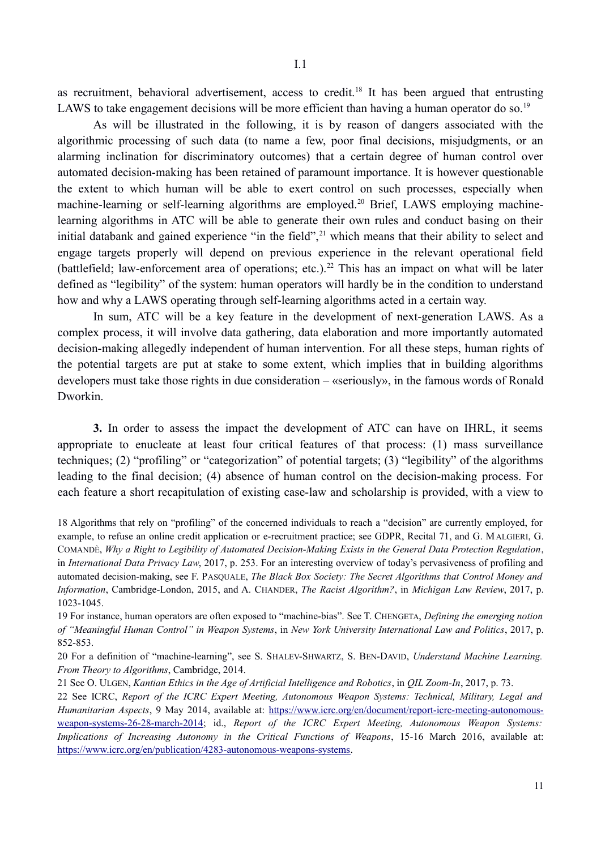as recruitment, behavioral advertisement, access to credit.<sup>18</sup> It has been argued that entrusting LAWS to take engagement decisions will be more efficient than having a human operator do so.<sup>19</sup>

As will be illustrated in the following, it is by reason of dangers associated with the algorithmic processing of such data (to name a few, poor final decisions, misjudgments, or an alarming inclination for discriminatory outcomes) that a certain degree of human control over automated decision-making has been retained of paramount importance. It is however questionable the extent to which human will be able to exert control on such processes, especially when machine-learning or self-learning algorithms are employed.<sup>20</sup> Brief, LAWS employing machinelearning algorithms in ATC will be able to generate their own rules and conduct basing on their initial databank and gained experience "in the field",<sup>21</sup> which means that their ability to select and engage targets properly will depend on previous experience in the relevant operational field (battlefield; law-enforcement area of operations; etc.).<sup>22</sup> This has an impact on what will be later defined as "legibility" of the system: human operators will hardly be in the condition to understand how and why a LAWS operating through self-learning algorithms acted in a certain way.

In sum, ATC will be a key feature in the development of next-generation LAWS. As a complex process, it will involve data gathering, data elaboration and more importantly automated decision-making allegedly independent of human intervention. For all these steps, human rights of the potential targets are put at stake to some extent, which implies that in building algorithms developers must take those rights in due consideration – «seriously», in the famous words of Ronald Dworkin.

**3.** In order to assess the impact the development of ATC can have on IHRL, it seems appropriate to enucleate at least four critical features of that process: (1) mass surveillance techniques; (2) "profiling" or "categorization" of potential targets; (3) "legibility" of the algorithms leading to the final decision; (4) absence of human control on the decision-making process. For each feature a short recapitulation of existing case-law and scholarship is provided, with a view to

18 Algorithms that rely on "profiling" of the concerned individuals to reach a "decision" are currently employed, for example, to refuse an online credit application or e-recruitment practice; see GDPR, Recital 71, and G. MALGIERI, G. COMANDÈ, *Why a Right to Legibility of Automated Decision-Making Exists in the General Data Protection Regulation*, in *International Data Privacy Law*, 2017, p. 253. For an interesting overview of today's pervasiveness of profiling and automated decision-making, see F. PASQUALE, *The Black Box Society: The Secret Algorithms that Control Money and Information*, Cambridge-London, 2015, and A. CHANDER, *The Racist Algorithm?*, in *Michigan Law Review*, 2017, p. 1023-1045.

19 For instance, human operators are often exposed to "machine-bias". See T. CHENGETA, *Defining the emerging notion of "Meaningful Human Control" in Weapon Systems*, in *New York University International Law and Politics*, 2017, p. 852-853.

20 For a definition of "machine-learning", see S. SHALEV-SHWARTZ, S. BEN-DAVID, *Understand Machine Learning. From Theory to Algorithms*, Cambridge, 2014.

21 See O. ULGEN, *Kantian Ethics in the Age of Artificial Intelligence and Robotics*, in *QIL Zoom-In*, 2017, p. 73.

22 See ICRC, *Report of the ICRC Expert Meeting, Autonomous Weapon Systems: Technical, Military, Legal and Humanitarian Aspects*, 9 May 2014, available at: https://www.icrc.org/en/document/report-icrc-meeting-autonomousweapon-systems-26-28-march-2014; id., *Report of the ICRC Expert Meeting, Autonomous Weapon Systems: Implications of Increasing Autonomy in the Critical Functions of Weapons*, 15-16 March 2016, available at: https://www.icrc.org/en/publication/4283-autonomous-weapons-systems.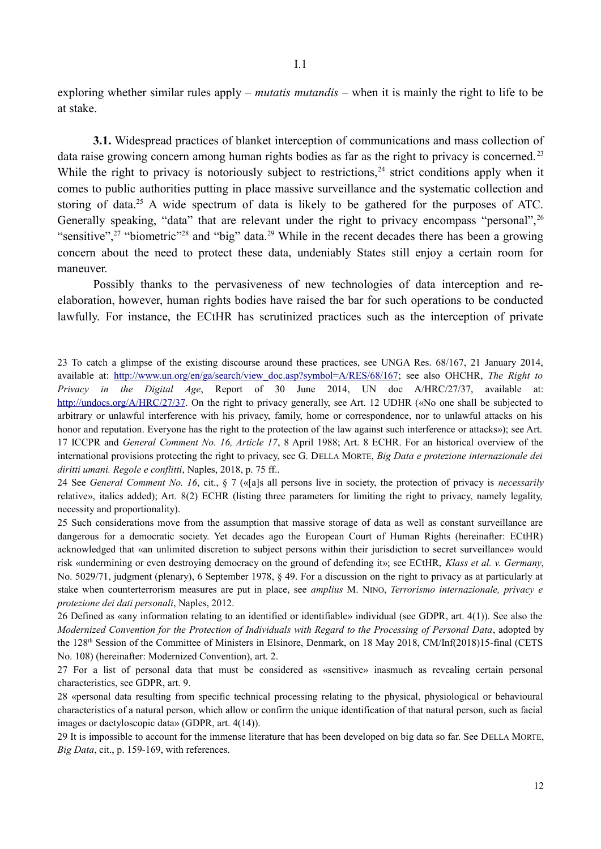exploring whether similar rules apply – *mutatis mutandis* – when it is mainly the right to life to be at stake.

**3.1.** Widespread practices of blanket interception of communications and mass collection of data raise growing concern among human rights bodies as far as the right to privacy is concerned.<sup>23</sup> While the right to privacy is notoriously subject to restrictions,  $24$  strict conditions apply when it comes to public authorities putting in place massive surveillance and the systematic collection and storing of data.<sup>25</sup> A wide spectrum of data is likely to be gathered for the purposes of ATC. Generally speaking, "data" that are relevant under the right to privacy encompass "personal", <sup>26</sup> "sensitive",<sup>27</sup> "biometric"<sup>28</sup> and "big" data.<sup>29</sup> While in the recent decades there has been a growing concern about the need to protect these data, undeniably States still enjoy a certain room for maneuver.

Possibly thanks to the pervasiveness of new technologies of data interception and reelaboration, however, human rights bodies have raised the bar for such operations to be conducted lawfully. For instance, the ECtHR has scrutinized practices such as the interception of private

23 To catch a glimpse of the existing discourse around these practices, see UNGA Res. 68/167, 21 January 2014, available at: http://www.un.org/en/ga/search/view\_doc.asp?symbol=A/RES/68/167; see also OHCHR, *The Right to Privacy in the Digital Age*, Report of 30 June 2014, UN doc A/HRC/27/37, available at: http://undocs.org/A/HRC/27/37. On the right to privacy generally, see Art. 12 UDHR («No one shall be subjected to arbitrary or unlawful interference with his privacy, family, home or correspondence, nor to unlawful attacks on his honor and reputation. Everyone has the right to the protection of the law against such interference or attacks»); see Art. 17 ICCPR and *General Comment No. 16, Article 17*, 8 April 1988; Art. 8 ECHR. For an historical overview of the international provisions protecting the right to privacy, see G. DELLA MORTE, *Big Data e protezione internazionale dei diritti umani. Regole e conflitti*, Naples, 2018, p. 75 ff..

24 See *General Comment No. 16*, cit., § 7 («[a]s all persons live in society, the protection of privacy is *necessarily* relative», italics added); Art. 8(2) ECHR (listing three parameters for limiting the right to privacy, namely legality, necessity and proportionality).

25 Such considerations move from the assumption that massive storage of data as well as constant surveillance are dangerous for a democratic society. Yet decades ago the European Court of Human Rights (hereinafter: ECtHR) acknowledged that «an unlimited discretion to subject persons within their jurisdiction to secret surveillance» would risk «undermining or even destroying democracy on the ground of defending it»; see ECtHR, *Klass et al. v. Germany*, No. 5029/71, judgment (plenary), 6 September 1978, § 49. For a discussion on the right to privacy as at particularly at stake when counterterrorism measures are put in place, see *amplius* M. NINO, *Terrorismo internazionale, privacy e protezione dei dati personali*, Naples, 2012.

26 Defined as «any information relating to an identified or identifiable» individual (see GDPR, art. 4(1)). See also the *Modernized Convention for the Protection of Individuals with Regard to the Processing of Personal Data*, adopted by the 128th Session of the Committee of Ministers in Elsinore, Denmark, on 18 May 2018, CM/Inf(2018)15-final (CETS No. 108) (hereinafter: Modernized Convention), art. 2.

27 For a list of personal data that must be considered as «sensitive» inasmuch as revealing certain personal characteristics, see GDPR, art. 9.

28 «personal data resulting from specific technical processing relating to the physical, physiological or behavioural characteristics of a natural person, which allow or confirm the unique identification of that natural person, such as facial images or dactyloscopic data» (GDPR, art. 4(14)).

29 It is impossible to account for the immense literature that has been developed on big data so far. See DELLA MORTE, *Big Data*, cit., p. 159-169, with references.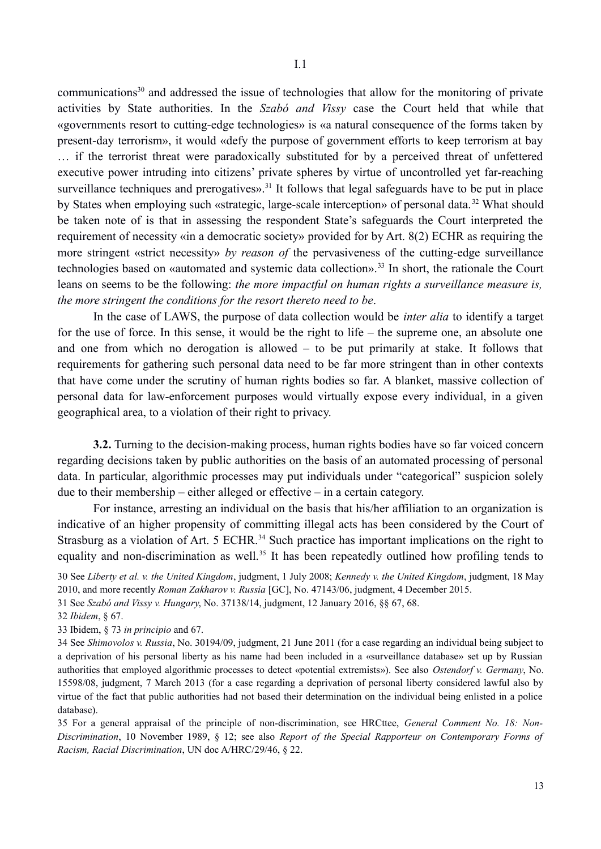communications<sup>30</sup> and addressed the issue of technologies that allow for the monitoring of private activities by State authorities. In the *Szabó and Vissy* case the Court held that while that «governments resort to cutting-edge technologies» is «a natural consequence of the forms taken by present-day terrorism», it would «defy the purpose of government efforts to keep terrorism at bay … if the terrorist threat were paradoxically substituted for by a perceived threat of unfettered executive power intruding into citizens' private spheres by virtue of uncontrolled yet far-reaching surveillance techniques and prerogatives».<sup>31</sup> It follows that legal safeguards have to be put in place by States when employing such «strategic, large-scale interception» of personal data. 32 What should be taken note of is that in assessing the respondent State's safeguards the Court interpreted the requirement of necessity «in a democratic society» provided for by Art. 8(2) ECHR as requiring the more stringent «strict necessity» *by reason of* the pervasiveness of the cutting-edge surveillance technologies based on «automated and systemic data collection».<sup>33</sup> In short, the rationale the Court leans on seems to be the following: *the more impactful on human rights a surveillance measure is,*

*the more stringent the conditions for the resort thereto need to be*.

In the case of LAWS, the purpose of data collection would be *inter alia* to identify a target for the use of force. In this sense, it would be the right to life – the supreme one, an absolute one and one from which no derogation is allowed – to be put primarily at stake. It follows that requirements for gathering such personal data need to be far more stringent than in other contexts that have come under the scrutiny of human rights bodies so far. A blanket, massive collection of personal data for law-enforcement purposes would virtually expose every individual, in a given geographical area, to a violation of their right to privacy.

**3.2.** Turning to the decision-making process, human rights bodies have so far voiced concern regarding decisions taken by public authorities on the basis of an automated processing of personal data. In particular, algorithmic processes may put individuals under "categorical" suspicion solely due to their membership – either alleged or effective – in a certain category.

For instance, arresting an individual on the basis that his/her affiliation to an organization is indicative of an higher propensity of committing illegal acts has been considered by the Court of Strasburg as a violation of Art. 5 ECHR.<sup>34</sup> Such practice has important implications on the right to equality and non-discrimination as well.<sup>35</sup> It has been repeatedly outlined how profiling tends to

30 See *Liberty et al. v. the United Kingdom*, judgment, 1 July 2008; *Kennedy v. the United Kingdom*, judgment, 18 May 2010, and more recently *Roman Zakharov v. Russia* [GC], No. 47143/06, judgment, 4 December 2015.

31 See *Szabó and Vissy v. Hungary*, No. 37138/14, judgment, 12 January 2016, §§ 67, 68.

33 Ibidem, § 73 *in principio* and 67.

34 See *Shimovolos v. Russia*, No. 30194/09, judgment, 21 June 2011 (for a case regarding an individual being subject to a deprivation of his personal liberty as his name had been included in a «surveillance database» set up by Russian authorities that employed algorithmic processes to detect «potential extremists»). See also *Ostendorf v. Germany*, No. 15598/08, judgment, 7 March 2013 (for a case regarding a deprivation of personal liberty considered lawful also by virtue of the fact that public authorities had not based their determination on the individual being enlisted in a police database).

35 For a general appraisal of the principle of non-discrimination, see HRCttee, *General Comment No. 18: Non-Discrimination*, 10 November 1989, § 12; see also *Report of the Special Rapporteur on Contemporary Forms of Racism, Racial Discrimination*, UN doc A/HRC/29/46, § 22.

<sup>32</sup> *Ibidem*, § 67.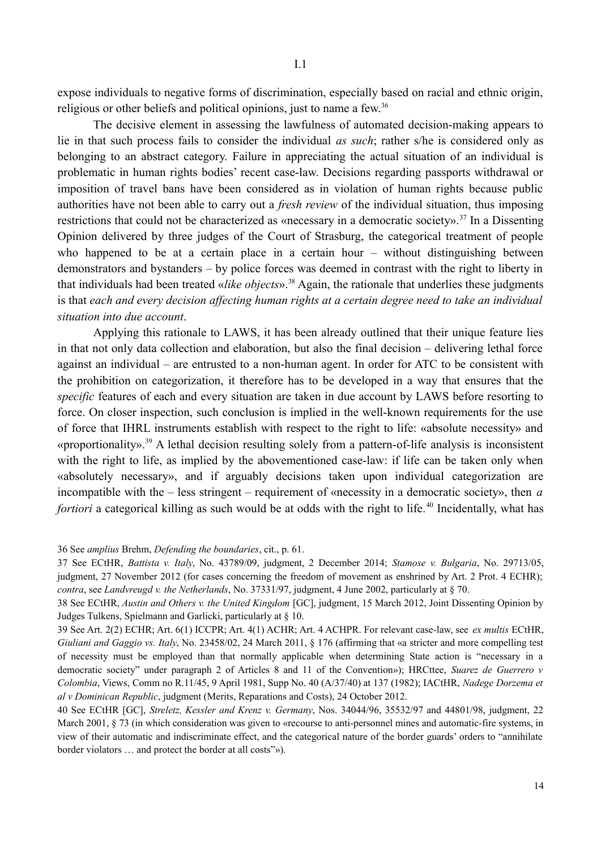expose individuals to negative forms of discrimination, especially based on racial and ethnic origin, religious or other beliefs and political opinions, just to name a few.36

The decisive element in assessing the lawfulness of automated decision-making appears to lie in that such process fails to consider the individual *as such*; rather s/he is considered only as belonging to an abstract category. Failure in appreciating the actual situation of an individual is problematic in human rights bodies' recent case-law. Decisions regarding passports withdrawal or imposition of travel bans have been considered as in violation of human rights because public authorities have not been able to carry out a *fresh review* of the individual situation, thus imposing restrictions that could not be characterized as «necessary in a democratic society».<sup>37</sup> In a Dissenting Opinion delivered by three judges of the Court of Strasburg, the categorical treatment of people who happened to be at a certain place in a certain hour – without distinguishing between demonstrators and bystanders – by police forces was deemed in contrast with the right to liberty in that individuals had been treated «*like objects*».38 Again, the rationale that underlies these judgments is that *each and every decision affecting human rights at a certain degree need to take an individual situation into due account*.

Applying this rationale to LAWS, it has been already outlined that their unique feature lies in that not only data collection and elaboration, but also the final decision – delivering lethal force against an individual – are entrusted to a non-human agent. In order for ATC to be consistent with the prohibition on categorization, it therefore has to be developed in a way that ensures that the *specific* features of each and every situation are taken in due account by LAWS before resorting to force. On closer inspection, such conclusion is implied in the well-known requirements for the use of force that IHRL instruments establish with respect to the right to life: «absolute necessity» and «proportionality».39 A lethal decision resulting solely from a pattern-of-life analysis is inconsistent with the right to life, as implied by the abovementioned case-law: if life can be taken only when «absolutely necessary», and if arguably decisions taken upon individual categorization are incompatible with the – less stringent – requirement of «necessity in a democratic society», then *a fortiori* a categorical killing as such would be at odds with the right to life.<sup>40</sup> Incidentally, what has

<sup>36</sup> See *amplius* Brehm, *Defending the boundaries*, cit., p. 61.

<sup>37</sup> See ECtHR, *Battista v. Italy*, No. 43789/09, judgment, 2 December 2014; *Stamose v. Bulgaria*, No. 29713/05, judgment, 27 November 2012 (for cases concerning the freedom of movement as enshrined by Art. 2 Prot. 4 ECHR); *contra*, see *Landvreugd v. the Netherlands*, No. 37331/97, judgment, 4 June 2002, particularly at § 70.

<sup>38</sup> See ECtHR, *Austin and Others v. the United Kingdom* [GC], judgment, 15 March 2012, Joint Dissenting Opinion by Judges Tulkens, Spielmann and Garlicki, particularly at § 10.

<sup>39</sup> See Art. 2(2) ECHR; Art. 6(1) ICCPR; Art. 4(1) ACHR; Art. 4 ACHPR. For relevant case-law, see *ex multis* ECtHR, *Giuliani and Gaggio vs. Italy*, No. 23458/02, 24 March 2011, § 176 (affirming that «a stricter and more compelling test of necessity must be employed than that normally applicable when determining State action is "necessary in a democratic society" under paragraph 2 of Articles 8 and 11 of the Convention»); HRCttee, *Suarez de Guerrero v Colombia*, Views, Comm no R.11/45, 9 April 1981, Supp No. 40 (A/37/40) at 137 (1982); IACtHR, *Nadege Dorzema et al v Dominican Republic*, judgment (Merits, Reparations and Costs), 24 October 2012.

<sup>40</sup> See ECtHR [GC], *Streletz, Kessler and Krenz v. Germany*, Nos. 34044/96, 35532/97 and 44801/98, judgment, 22 March 2001, § 73 (in which consideration was given to «recourse to anti-personnel mines and automatic-fire systems, in view of their automatic and indiscriminate effect, and the categorical nature of the border guards' orders to "annihilate border violators … and protect the border at all costs"»).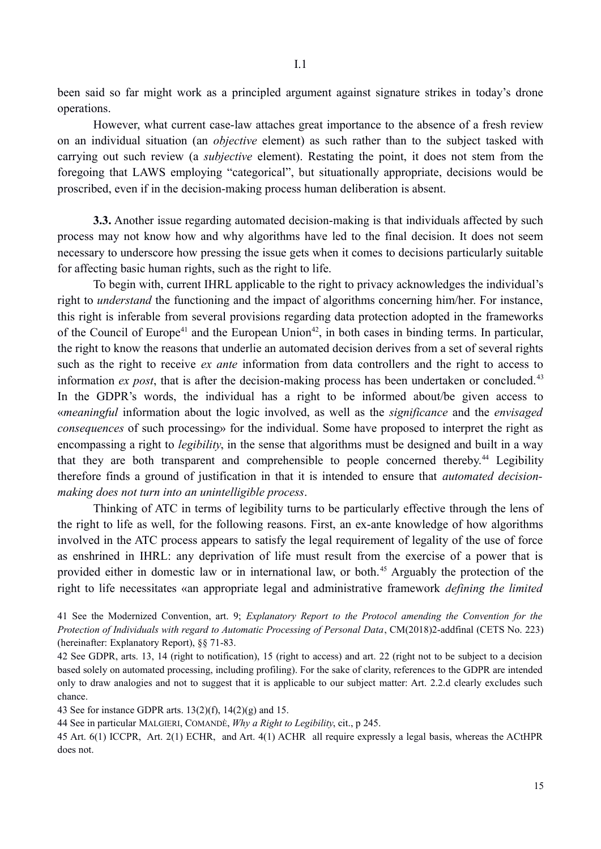been said so far might work as a principled argument against signature strikes in today's drone operations.

However, what current case-law attaches great importance to the absence of a fresh review on an individual situation (an *objective* element) as such rather than to the subject tasked with carrying out such review (a *subjective* element). Restating the point, it does not stem from the foregoing that LAWS employing "categorical", but situationally appropriate, decisions would be proscribed, even if in the decision-making process human deliberation is absent.

**3.3.** Another issue regarding automated decision-making is that individuals affected by such process may not know how and why algorithms have led to the final decision. It does not seem necessary to underscore how pressing the issue gets when it comes to decisions particularly suitable for affecting basic human rights, such as the right to life.

To begin with, current IHRL applicable to the right to privacy acknowledges the individual's right to *understand* the functioning and the impact of algorithms concerning him/her. For instance, this right is inferable from several provisions regarding data protection adopted in the frameworks of the Council of Europe<sup>41</sup> and the European Union<sup>42</sup>, in both cases in binding terms. In particular, the right to know the reasons that underlie an automated decision derives from a set of several rights such as the right to receive *ex ante* information from data controllers and the right to access to information *ex post*, that is after the decision-making process has been undertaken or concluded.<sup>43</sup> In the GDPR's words, the individual has a right to be informed about/be given access to «*meaningful* information about the logic involved, as well as the *significance* and the *envisaged consequences* of such processing» for the individual. Some have proposed to interpret the right as encompassing a right to *legibility*, in the sense that algorithms must be designed and built in a way that they are both transparent and comprehensible to people concerned thereby.<sup>44</sup> Legibility therefore finds a ground of justification in that it is intended to ensure that *automated decisionmaking does not turn into an unintelligible process*.

Thinking of ATC in terms of legibility turns to be particularly effective through the lens of the right to life as well, for the following reasons. First, an ex-ante knowledge of how algorithms involved in the ATC process appears to satisfy the legal requirement of legality of the use of force as enshrined in IHRL: any deprivation of life must result from the exercise of a power that is provided either in domestic law or in international law, or both.<sup>45</sup> Arguably the protection of the right to life necessitates «an appropriate legal and administrative framework *defining the limited*

43 See for instance GDPR arts. 13(2)(f), 14(2)(g) and 15.

44 See in particular MALGIERI, COMANDÈ, *Why a Right to Legibility*, cit., p 245.

45 Art. 6(1) ICCPR, Art. 2(1) ECHR, and Art. 4(1) ACHR all require expressly a legal basis, whereas the ACtHPR does not.

<sup>41</sup> See the Modernized Convention, art. 9; *Explanatory Report to the Protocol amending the Convention for the Protection of Individuals with regard to Automatic Processing of Personal Data*, CM(2018)2-addfinal (CETS No. 223) (hereinafter: Explanatory Report), §§ 71-83.

<sup>42</sup> See GDPR, arts. 13, 14 (right to notification), 15 (right to access) and art. 22 (right not to be subject to a decision based solely on automated processing, including profiling). For the sake of clarity, references to the GDPR are intended only to draw analogies and not to suggest that it is applicable to our subject matter: Art. 2.2.d clearly excludes such chance.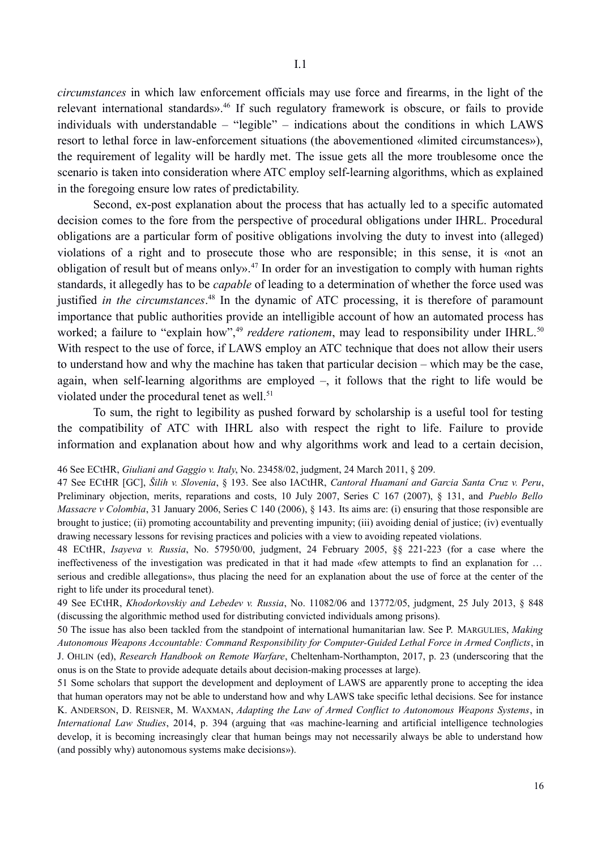*circumstances* in which law enforcement officials may use force and firearms, in the light of the relevant international standards».<sup>46</sup> If such regulatory framework is obscure, or fails to provide individuals with understandable – "legible" – indications about the conditions in which LAWS resort to lethal force in law-enforcement situations (the abovementioned «limited circumstances»), the requirement of legality will be hardly met. The issue gets all the more troublesome once the scenario is taken into consideration where ATC employ self-learning algorithms, which as explained in the foregoing ensure low rates of predictability.

Second, ex-post explanation about the process that has actually led to a specific automated decision comes to the fore from the perspective of procedural obligations under IHRL. Procedural obligations are a particular form of positive obligations involving the duty to invest into (alleged) violations of a right and to prosecute those who are responsible; in this sense, it is «not an obligation of result but of means onlys.<sup>47</sup> In order for an investigation to comply with human rights standards, it allegedly has to be *capable* of leading to a determination of whether the force used was justified *in the circumstances*. 48 In the dynamic of ATC processing, it is therefore of paramount importance that public authorities provide an intelligible account of how an automated process has worked; a failure to "explain how",<sup>49</sup> *reddere rationem*, may lead to responsibility under IHRL.<sup>50</sup> With respect to the use of force, if LAWS employ an ATC technique that does not allow their users to understand how and why the machine has taken that particular decision – which may be the case, again, when self-learning algorithms are employed –, it follows that the right to life would be violated under the procedural tenet as well.<sup>51</sup>

To sum, the right to legibility as pushed forward by scholarship is a useful tool for testing the compatibility of ATC with IHRL also with respect the right to life. Failure to provide information and explanation about how and why algorithms work and lead to a certain decision,

<sup>46</sup> See ECtHR, *Giuliani and Gaggio v. Italy*, No. 23458/02, judgment, 24 March 2011, § 209.

<sup>47</sup> See ECtHR [GC], *Šilih v. Slovenia*, § 193. See also IACtHR, *Cantoral Huamaní and Garcia Santa Cruz v. Peru*, Preliminary objection, merits, reparations and costs, 10 July 2007, Series C 167 (2007), § 131, and *Pueblo Bello Massacre v Colombia*, 31 January 2006, Series C 140 (2006), § 143. Its aims are: (i) ensuring that those responsible are brought to justice; (ii) promoting accountability and preventing impunity; (iii) avoiding denial of justice; (iv) eventually drawing necessary lessons for revising practices and policies with a view to avoiding repeated violations.

<sup>48</sup> ECtHR, *Isayeva v. Russia*, No. 57950/00, judgment, 24 February 2005, §§ 221-223 (for a case where the ineffectiveness of the investigation was predicated in that it had made «few attempts to find an explanation for … serious and credible allegations», thus placing the need for an explanation about the use of force at the center of the right to life under its procedural tenet).

<sup>49</sup> See ECtHR, *Khodorkovskiy and Lebedev v. Russia*, No. 11082/06 and 13772/05, judgment, 25 July 2013, § 848 (discussing the algorithmic method used for distributing convicted individuals among prisons).

<sup>50</sup> The issue has also been tackled from the standpoint of international humanitarian law. See P. MARGULIES, *Making Autonomous Weapons Accountable: Command Responsibility for Computer-Guided Lethal Force in Armed Conflicts*, in J. OHLIN (ed), *Research Handbook on Remote Warfare*, Cheltenham-Northampton, 2017, p. 23 (underscoring that the onus is on the State to provide adequate details about decision-making processes at large).

<sup>51</sup> Some scholars that support the development and deployment of LAWS are apparently prone to accepting the idea that human operators may not be able to understand how and why LAWS take specific lethal decisions. See for instance K. ANDERSON, D. REISNER, M. WAXMAN, *Adapting the Law of Armed Conflict to Autonomous Weapons Systems*, in *International Law Studies*, 2014, p. 394 (arguing that «as machine-learning and artificial intelligence technologies develop, it is becoming increasingly clear that human beings may not necessarily always be able to understand how (and possibly why) autonomous systems make decisions»).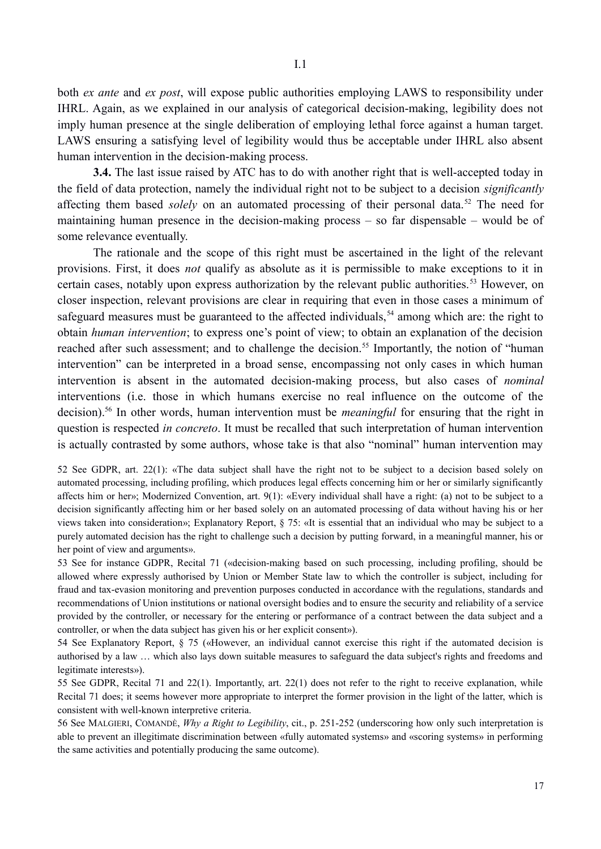both *ex ante* and *ex post*, will expose public authorities employing LAWS to responsibility under IHRL. Again, as we explained in our analysis of categorical decision-making, legibility does not imply human presence at the single deliberation of employing lethal force against a human target. LAWS ensuring a satisfying level of legibility would thus be acceptable under IHRL also absent human intervention in the decision-making process.

**3.4.** The last issue raised by ATC has to do with another right that is well-accepted today in the field of data protection, namely the individual right not to be subject to a decision *significantly* affecting them based *solely* on an automated processing of their personal data.<sup>52</sup> The need for maintaining human presence in the decision-making process – so far dispensable – would be of some relevance eventually.

The rationale and the scope of this right must be ascertained in the light of the relevant provisions. First, it does *not* qualify as absolute as it is permissible to make exceptions to it in certain cases, notably upon express authorization by the relevant public authorities.<sup>53</sup> However, on closer inspection, relevant provisions are clear in requiring that even in those cases a minimum of safeguard measures must be guaranteed to the affected individuals,  $54$  among which are: the right to obtain *human intervention*; to express one's point of view; to obtain an explanation of the decision reached after such assessment; and to challenge the decision.<sup>55</sup> Importantly, the notion of "human" intervention" can be interpreted in a broad sense, encompassing not only cases in which human intervention is absent in the automated decision-making process, but also cases of *nominal* interventions (i.e. those in which humans exercise no real influence on the outcome of the decision).<sup>56</sup> In other words, human intervention must be *meaningful* for ensuring that the right in question is respected *in concreto*. It must be recalled that such interpretation of human intervention is actually contrasted by some authors, whose take is that also "nominal" human intervention may

52 See GDPR, art. 22(1): «The data subject shall have the right not to be subject to a decision based solely on automated processing, including profiling, which produces legal effects concerning him or her or similarly significantly affects him or her»; Modernized Convention, art. 9(1): «Every individual shall have a right: (a) not to be subject to a decision significantly affecting him or her based solely on an automated processing of data without having his or her views taken into consideration»; Explanatory Report, § 75: «It is essential that an individual who may be subject to a purely automated decision has the right to challenge such a decision by putting forward, in a meaningful manner, his or her point of view and arguments».

53 See for instance GDPR, Recital 71 («decision-making based on such processing, including profiling, should be allowed where expressly authorised by Union or Member State law to which the controller is subject, including for fraud and tax-evasion monitoring and prevention purposes conducted in accordance with the regulations, standards and recommendations of Union institutions or national oversight bodies and to ensure the security and reliability of a service provided by the controller, or necessary for the entering or performance of a contract between the data subject and a controller, or when the data subject has given his or her explicit consent»).

54 See Explanatory Report, § 75 («However, an individual cannot exercise this right if the automated decision is authorised by a law … which also lays down suitable measures to safeguard the data subject's rights and freedoms and legitimate interests»).

55 See GDPR, Recital 71 and 22(1). Importantly, art. 22(1) does not refer to the right to receive explanation, while Recital 71 does; it seems however more appropriate to interpret the former provision in the light of the latter, which is consistent with well-known interpretive criteria.

56 See MALGIERI, COMANDÈ, *Why a Right to Legibility*, cit., p. 251-252 (underscoring how only such interpretation is able to prevent an illegitimate discrimination between «fully automated systems» and «scoring systems» in performing the same activities and potentially producing the same outcome).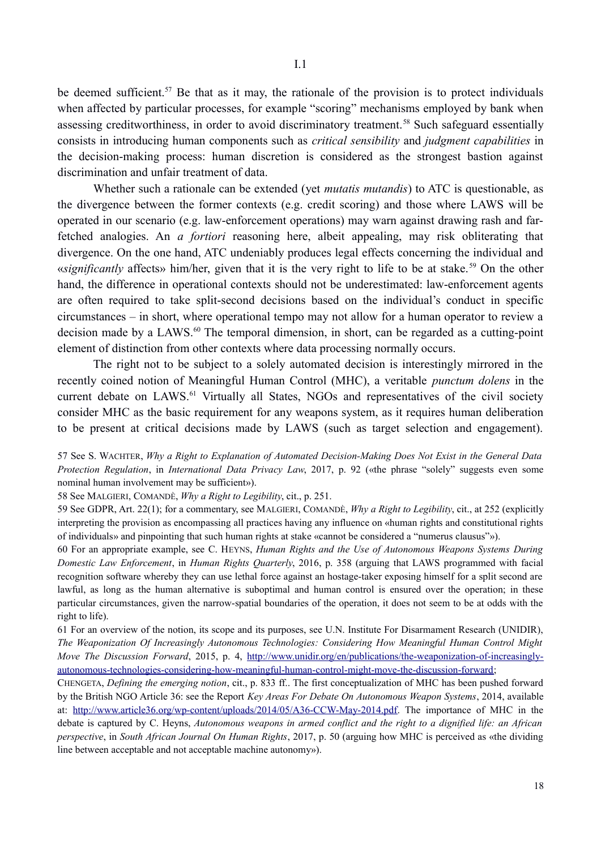be deemed sufficient.<sup>57</sup> Be that as it may, the rationale of the provision is to protect individuals when affected by particular processes, for example "scoring" mechanisms employed by bank when assessing creditworthiness, in order to avoid discriminatory treatment.<sup>58</sup> Such safeguard essentially consists in introducing human components such as *critical sensibility* and *judgment capabilities* in the decision-making process: human discretion is considered as the strongest bastion against discrimination and unfair treatment of data.

Whether such a rationale can be extended (yet *mutatis mutandis*) to ATC is questionable, as the divergence between the former contexts (e.g. credit scoring) and those where LAWS will be operated in our scenario (e.g. law-enforcement operations) may warn against drawing rash and farfetched analogies. An *a fortiori* reasoning here, albeit appealing, may risk obliterating that divergence. On the one hand, ATC undeniably produces legal effects concerning the individual and «*significantly* affects» him/her, given that it is the very right to life to be at stake.<sup>59</sup> On the other hand, the difference in operational contexts should not be underestimated: law-enforcement agents are often required to take split-second decisions based on the individual's conduct in specific circumstances – in short, where operational tempo may not allow for a human operator to review a decision made by a LAWS.<sup>60</sup> The temporal dimension, in short, can be regarded as a cutting-point element of distinction from other contexts where data processing normally occurs.

The right not to be subject to a solely automated decision is interestingly mirrored in the recently coined notion of Meaningful Human Control (MHC), a veritable *punctum dolens* in the current debate on LAWS.<sup>61</sup> Virtually all States, NGOs and representatives of the civil society consider MHC as the basic requirement for any weapons system, as it requires human deliberation to be present at critical decisions made by LAWS (such as target selection and engagement).

57 See S. WACHTER, *Why a Right to Explanation of Automated Decision-Making Does Not Exist in the General Data Protection Regulation*, in *International Data Privacy Law*, 2017, p. 92 («the phrase "solely" suggests even some nominal human involvement may be sufficient»).

58 See MALGIERI, COMANDÈ, *Why a Right to Legibility*, cit., p. 251.

59 See GDPR, Art. 22(1); for a commentary, see MALGIERI, COMANDÈ, *Why a Right to Legibility*, cit., at 252 (explicitly interpreting the provision as encompassing all practices having any influence on «human rights and constitutional rights of individuals» and pinpointing that such human rights at stake «cannot be considered a "numerus clausus"»).

60 For an appropriate example, see C. HEYNS, *Human Rights and the Use of Autonomous Weapons Systems During Domestic Law Enforcement*, in *Human Rights Quarterly*, 2016, p. 358 (arguing that LAWS programmed with facial recognition software whereby they can use lethal force against an hostage-taker exposing himself for a split second are lawful, as long as the human alternative is suboptimal and human control is ensured over the operation; in these particular circumstances, given the narrow-spatial boundaries of the operation, it does not seem to be at odds with the right to life).

61 For an overview of the notion, its scope and its purposes, see U.N. Institute For Disarmament Research (UNIDIR), *The Weaponization Of Increasingly Autonomous Technologies: Considering How Meaningful Human Control Might Move The Discussion Forward*, 2015, p. 4, http://www.unidir.org/en/publications/the-weaponization-of-increasinglyautonomous-technologies-considering-how-meaningful-human-control-might-move-the-discussion-forward;

CHENGETA, *Defining the emerging notion*, cit., p. 833 ff.. The first conceptualization of MHC has been pushed forward by the British NGO Article 36: see the Report *Key Areas For Debate On Autonomous Weapon Systems*, 2014, available at: http://www.article36.org/wp-content/uploads/2014/05/A36-CCW-May-2014.pdf. The importance of MHC in the debate is captured by C. Heyns, *Autonomous weapons in armed conflict and the right to a dignified life: an African perspective*, in *South African Journal On Human Rights*, 2017, p. 50 (arguing how MHC is perceived as «the dividing line between acceptable and not acceptable machine autonomy»).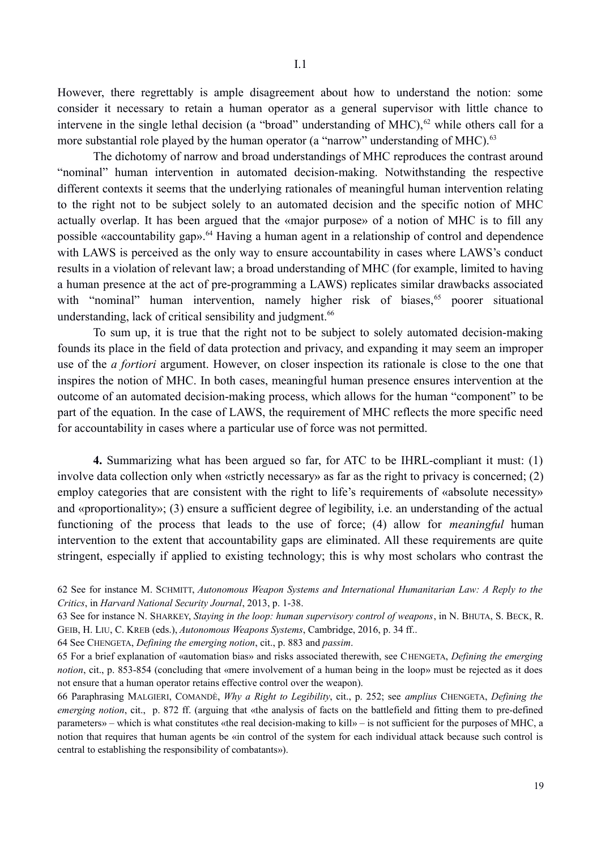However, there regrettably is ample disagreement about how to understand the notion: some consider it necessary to retain a human operator as a general supervisor with little chance to intervene in the single lethal decision (a "broad" understanding of MHC),<sup>62</sup> while others call for a more substantial role played by the human operator (a "narrow" understanding of MHC).<sup>63</sup>

The dichotomy of narrow and broad understandings of MHC reproduces the contrast around "nominal" human intervention in automated decision-making. Notwithstanding the respective different contexts it seems that the underlying rationales of meaningful human intervention relating to the right not to be subject solely to an automated decision and the specific notion of MHC actually overlap. It has been argued that the «major purpose» of a notion of MHC is to fill any possible «accountability gap».<sup>64</sup> Having a human agent in a relationship of control and dependence with LAWS is perceived as the only way to ensure accountability in cases where LAWS's conduct results in a violation of relevant law; a broad understanding of MHC (for example, limited to having a human presence at the act of pre-programming a LAWS) replicates similar drawbacks associated with "nominal" human intervention, namely higher risk of biases,<sup>65</sup> poorer situational understanding, lack of critical sensibility and judgment.<sup>66</sup>

To sum up, it is true that the right not to be subject to solely automated decision-making founds its place in the field of data protection and privacy, and expanding it may seem an improper use of the *a fortiori* argument. However, on closer inspection its rationale is close to the one that inspires the notion of MHC. In both cases, meaningful human presence ensures intervention at the outcome of an automated decision-making process, which allows for the human "component" to be part of the equation. In the case of LAWS, the requirement of MHC reflects the more specific need for accountability in cases where a particular use of force was not permitted.

**4.** Summarizing what has been argued so far, for ATC to be IHRL-compliant it must: (1) involve data collection only when «strictly necessary» as far as the right to privacy is concerned; (2) employ categories that are consistent with the right to life's requirements of «absolute necessity» and «proportionality»; (3) ensure a sufficient degree of legibility, i.e. an understanding of the actual functioning of the process that leads to the use of force; (4) allow for *meaningful* human intervention to the extent that accountability gaps are eliminated. All these requirements are quite stringent, especially if applied to existing technology; this is why most scholars who contrast the

64 See CHENGETA, *Defining the emerging notion*, cit., p. 883 and *passim*.

<sup>62</sup> See for instance M. SCHMITT, *Autonomous Weapon Systems and International Humanitarian Law: A Reply to the Critics*, in *Harvard National Security Journal*, 2013, p. 1-38.

<sup>63</sup> See for instance N. SHARKEY, *Staying in the loop: human supervisory control of weapons*, in N. BHUTA, S. BECK, R. GEIΒ, H. LIU, C. KREΒ (eds.), *Autonomous Weapons Systems*, Cambridge, 2016, p. 34 ff..

<sup>65</sup> For a brief explanation of «automation bias» and risks associated therewith, see CHENGETA, *Defining the emerging notion*, cit., p. 853-854 (concluding that «mere involvement of a human being in the loop» must be rejected as it does not ensure that a human operator retains effective control over the weapon).

<sup>66</sup> Paraphrasing MALGIERI, COMANDÈ, *Why a Right to Legibility*, cit., p. 252; see *amplius* CHENGETA, *Defining the emerging notion*, cit., p. 872 ff. (arguing that «the analysis of facts on the battlefield and fitting them to pre-defined parameters» – which is what constitutes «the real decision-making to kill» – is not sufficient for the purposes of MHC, a notion that requires that human agents be «in control of the system for each individual attack because such control is central to establishing the responsibility of combatants»).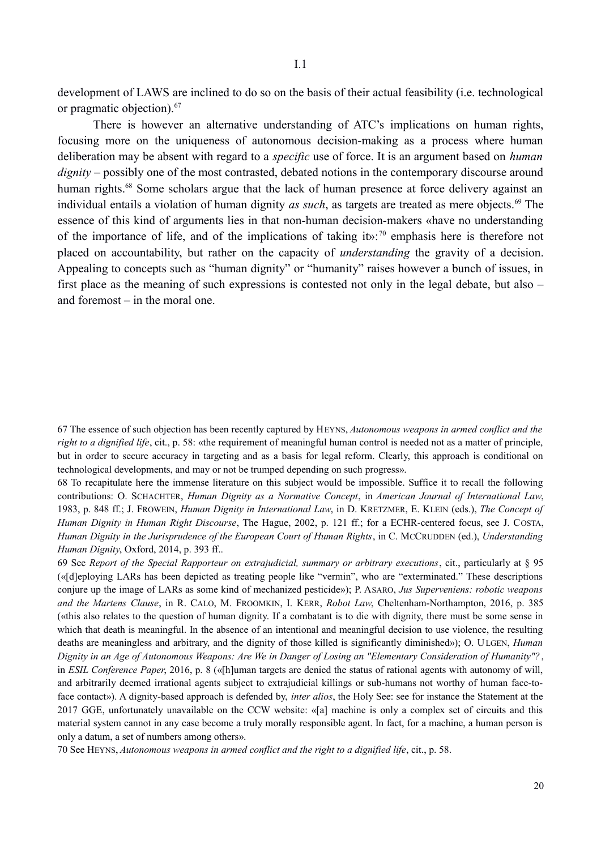development of LAWS are inclined to do so on the basis of their actual feasibility (i.e. technological or pragmatic objection).67

There is however an alternative understanding of ATC's implications on human rights, focusing more on the uniqueness of autonomous decision-making as a process where human deliberation may be absent with regard to a *specific* use of force. It is an argument based on *human dignity* – possibly one of the most contrasted, debated notions in the contemporary discourse around human rights.<sup>68</sup> Some scholars argue that the lack of human presence at force delivery against an individual entails a violation of human dignity *as such*, as targets are treated as mere objects.<sup>69</sup> The essence of this kind of arguments lies in that non-human decision-makers «have no understanding of the importance of life, and of the implications of taking it»:<sup>70</sup> emphasis here is therefore not placed on accountability, but rather on the capacity of *understanding* the gravity of a decision. Appealing to concepts such as "human dignity" or "humanity" raises however a bunch of issues, in first place as the meaning of such expressions is contested not only in the legal debate, but also – and foremost – in the moral one.

67 The essence of such objection has been recently captured by HEYNS, *Autonomous weapons in armed conflict and the right to a dignified life*, cit., p. 58: «the requirement of meaningful human control is needed not as a matter of principle, but in order to secure accuracy in targeting and as a basis for legal reform. Clearly, this approach is conditional on technological developments, and may or not be trumped depending on such progress».

68 To recapitulate here the immense literature on this subject would be impossible. Suffice it to recall the following contributions: O. SCHACHTER, *Human Dignity as a Normative Concept*, in *American Journal of International Law*, 1983, p. 848 ff.; J. FROWEIN, *Human Dignity in International Law*, in D. KRETZMER, E. KLEIN (eds.), *The Concept of Human Dignity in Human Right Discourse*, The Hague, 2002, p. 121 ff.; for a ECHR-centered focus, see J. COSTA, *Human Dignity in the Jurisprudence of the European Court of Human Rights*, in C. MCCRUDDEN (ed.), *Understanding Human Dignity*, Oxford, 2014, p. 393 ff..

69 See *Report of the Special Rapporteur on extrajudicial, summary or arbitrary executions*, cit., particularly at § 95 («[d]eploying LARs has been depicted as treating people like "vermin", who are "exterminated." These descriptions conjure up the image of LARs as some kind of mechanized pesticide»); P. ASARO, *Jus Superveniens: robotic weapons and the Martens Clause*, in R. CALO, M. FROOMKIN, I. KERR, *Robot Law*, Cheltenham-Northampton, 2016, p. 385 («this also relates to the question of human dignity. If a combatant is to die with dignity, there must be some sense in which that death is meaningful. In the absence of an intentional and meaningful decision to use violence, the resulting deaths are meaningless and arbitrary, and the dignity of those killed is significantly diminished»); O. ULGEN, *Human Dignity in an Age of Autonomous Weapons: Are We in Danger of Losing an "Elementary Consideration of Humanity"?*, in *ESIL Conference Paper*, 2016, p. 8 («[h]uman targets are denied the status of rational agents with autonomy of will, and arbitrarily deemed irrational agents subject to extrajudicial killings or sub-humans not worthy of human face-toface contact»). A dignity-based approach is defended by, *inter alios*, the Holy See: see for instance the Statement at the 2017 GGE, unfortunately unavailable on the CCW website: «[a] machine is only a complex set of circuits and this material system cannot in any case become a truly morally responsible agent. In fact, for a machine, a human person is only a datum, a set of numbers among others».

70 See HEYNS, *Autonomous weapons in armed conflict and the right to a dignified life*, cit., p. 58.